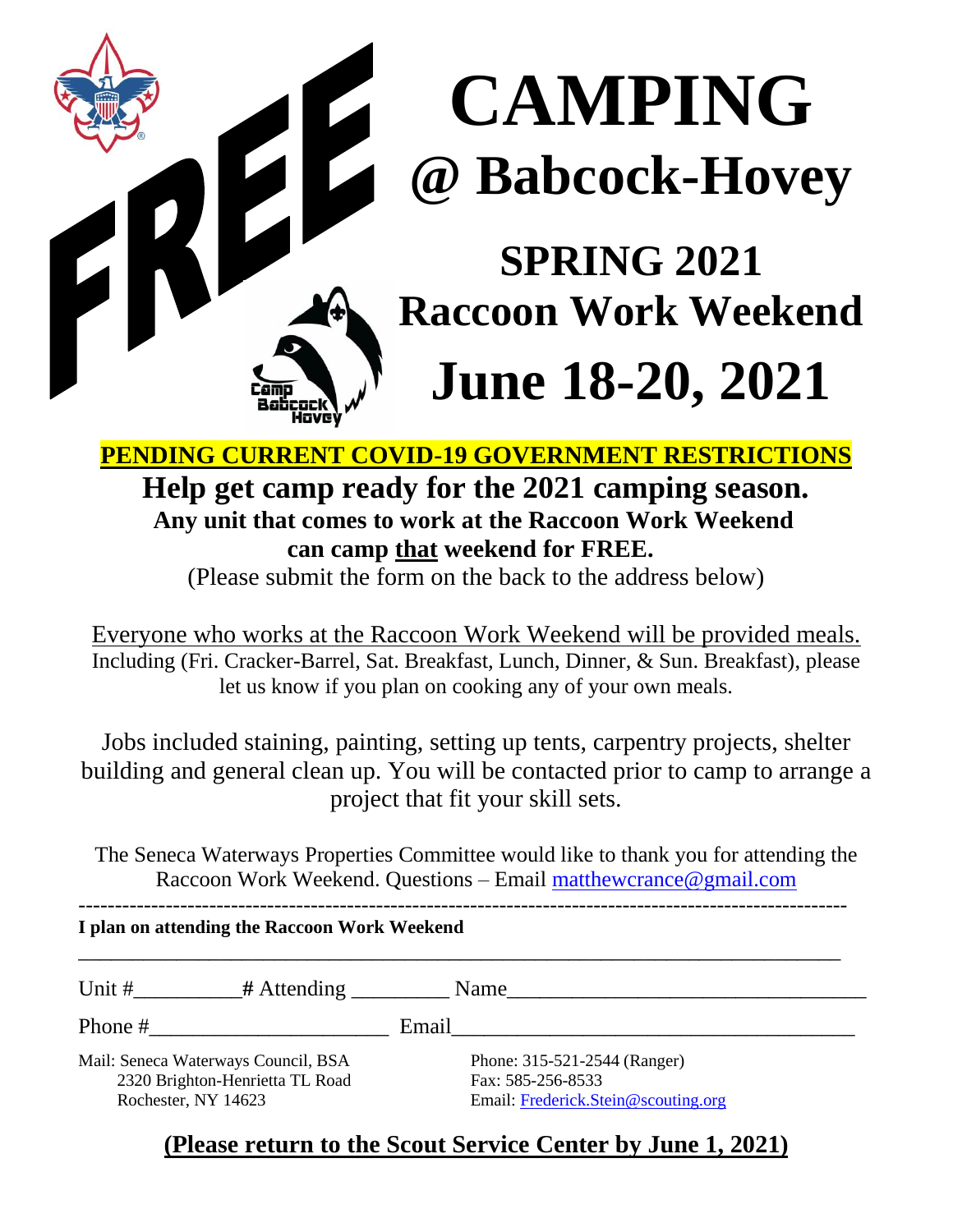# **CAMPING 2008** Babcock-Hovey

### **SPRING 2021 Raccoon Work Weekend**

## **June 18-20, 2021**

**PENDING CURRENT COVID-19 GOVERNMENT RESTRICTIONS**

#### **Help get camp ready for the 2021 camping season. Any unit that comes to work at the Raccoon Work Weekend can camp that weekend for FREE.**

(Please submit the form on the back to the address below)

Everyone who works at the Raccoon Work Weekend will be provided meals. Including (Fri. Cracker-Barrel, Sat. Breakfast, Lunch, Dinner, & Sun. Breakfast), please let us know if you plan on cooking any of your own meals.

Jobs included staining, painting, setting up tents, carpentry projects, shelter building and general clean up. You will be contacted prior to camp to arrange a project that fit your skill sets.

The Seneca Waterways Properties Committee would like to thank you for attending the Raccoon Work Weekend. Questions – Email [matthewcrance@gmail.com](mailto:matthewcrance@gmail.com)

---------------------------------------------------------------------------------------------------------- **I plan on attending the Raccoon Work Weekend**

\_\_\_\_\_\_\_\_\_\_\_\_\_\_\_\_\_\_\_\_\_\_\_\_\_\_\_\_\_\_\_\_\_\_\_\_\_\_\_\_\_\_\_\_\_\_\_\_\_\_\_\_\_\_\_\_\_\_\_\_\_\_\_\_\_\_\_\_\_\_ Unit #\_\_\_\_\_\_\_\_\_\_**#** Attending \_\_\_\_\_\_\_\_\_ Name\_\_\_\_\_\_\_\_\_\_\_\_\_\_\_\_\_\_\_\_\_\_\_\_\_\_\_\_\_\_\_\_\_ Phone #\_\_\_\_\_\_\_\_\_\_\_\_\_\_\_\_\_\_\_\_\_\_ Email\_\_\_\_\_\_\_\_\_\_\_\_\_\_\_\_\_\_\_\_\_\_\_\_\_\_\_\_\_\_\_\_\_\_\_\_\_ Mail: Seneca Waterways Council, BSA Phone: 315-521-2544 (Ranger) 2320 Brighton-Henrietta TL Road Fax: 585-256-8533 Rochester, NY 14623 Email: [Frederick.Stein@scouting.org](mailto:Frederick.Stein@scouting.org)

#### **(Please return to the Scout Service Center by June 1, 2021)**